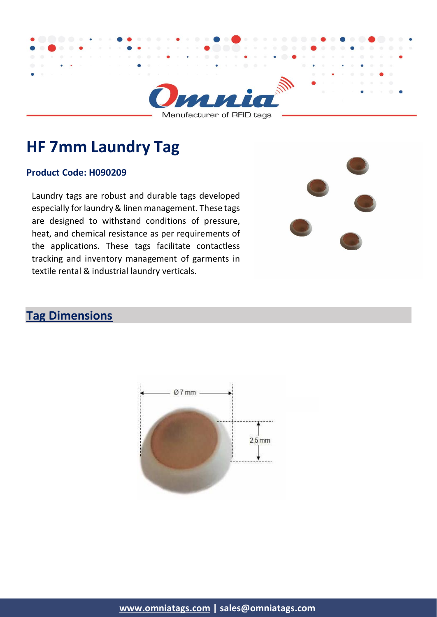

# **HF 7mm Laundry Tag**

#### **Product Code: H090209**

Laundry tags are robust and durable tags developed especially for laundry & linen management. These tags are designed to withstand conditions of pressure, heat, and chemical resistance as per requirements of the applications. These tags facilitate contactless tracking and inventory management of garments in textile rental & industrial laundry verticals.

### **Tag Dimensions**

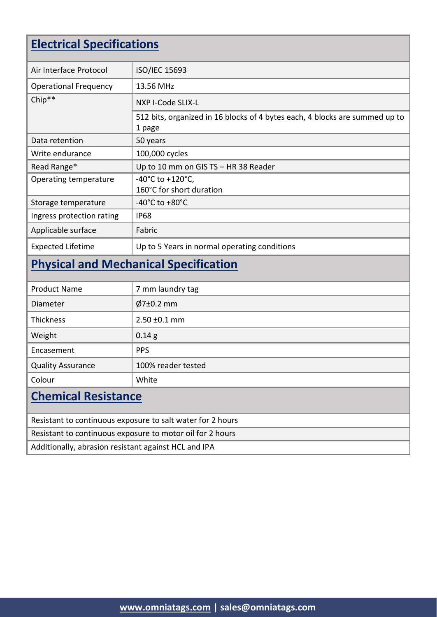| <b>Electrical Specifications</b>             |                                                                                       |  |
|----------------------------------------------|---------------------------------------------------------------------------------------|--|
| Air Interface Protocol                       | ISO/IEC 15693                                                                         |  |
| <b>Operational Frequency</b>                 | 13.56 MHz                                                                             |  |
| Chip**                                       | NXP I-Code SLIX-L                                                                     |  |
|                                              | 512 bits, organized in 16 blocks of 4 bytes each, 4 blocks are summed up to<br>1 page |  |
| Data retention                               | 50 years                                                                              |  |
| Write endurance                              | 100,000 cycles                                                                        |  |
| Read Range*                                  | Up to 10 mm on GIS TS - HR 38 Reader                                                  |  |
| Operating temperature                        | $-40^{\circ}$ C to $+120^{\circ}$ C,<br>160°C for short duration                      |  |
| Storage temperature                          | -40 $^{\circ}$ C to +80 $^{\circ}$ C                                                  |  |
| Ingress protection rating                    | <b>IP68</b>                                                                           |  |
| Applicable surface                           | Fabric                                                                                |  |
| <b>Expected Lifetime</b>                     | Up to 5 Years in normal operating conditions                                          |  |
| <b>Physical and Mechanical Specification</b> |                                                                                       |  |
| <b>Droduct Name</b>                          | 7 mm laundry tag                                                                      |  |

| <b>Chemical Resistance</b> |                    |  |
|----------------------------|--------------------|--|
| Colour                     | White              |  |
| <b>Quality Assurance</b>   | 100% reader tested |  |
| Encasement                 | <b>PPS</b>         |  |
| Weight                     | 0.14 <sub>g</sub>  |  |
| <b>Thickness</b>           | $2.50 \pm 0.1$ mm  |  |
| Diameter                   | $\varphi$ 7±0.2 mm |  |
| <b>Product Name</b>        | 7 mm laundry tag   |  |

# **Chemical Resistance**

Resistant to continuous exposure to salt water for 2 hours

Resistant to continuous exposure to motor oil for 2 hours

Additionally, abrasion resistant against HCL and IPA